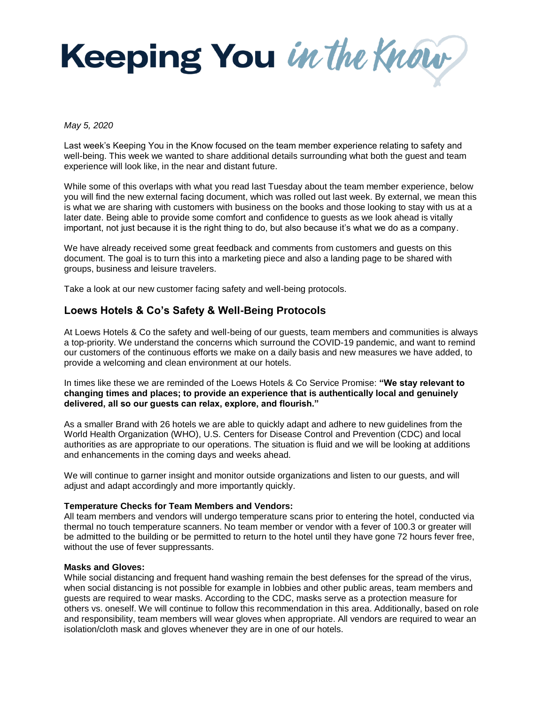

#### *May 5, 2020*

Last week's Keeping You in the Know focused on the team member experience relating to safety and well-being. This week we wanted to share additional details surrounding what both the guest and team experience will look like, in the near and distant future.

While some of this overlaps with what you read last Tuesday about the team member experience, below you will find the new external facing document, which was rolled out last week. By external, we mean this is what we are sharing with customers with business on the books and those looking to stay with us at a later date. Being able to provide some comfort and confidence to guests as we look ahead is vitally important, not just because it is the right thing to do, but also because it's what we do as a company.

We have already received some great feedback and comments from customers and guests on this document. The goal is to turn this into a marketing piece and also a landing page to be shared with groups, business and leisure travelers.

Take a look at our new customer facing safety and well-being protocols.

# **Loews Hotels & Co's Safety & Well-Being Protocols**

At Loews Hotels & Co the safety and well-being of our guests, team members and communities is always a top-priority. We understand the concerns which surround the COVID-19 pandemic, and want to remind our customers of the continuous efforts we make on a daily basis and new measures we have added, to provide a welcoming and clean environment at our hotels.

In times like these we are reminded of the Loews Hotels & Co Service Promise: **"We stay relevant to changing times and places; to provide an experience that is authentically local and genuinely delivered, all so our guests can relax, explore, and flourish."**

As a smaller Brand with 26 hotels we are able to quickly adapt and adhere to new guidelines from the World Health Organization (WHO), U.S. Centers for Disease Control and Prevention (CDC) and local authorities as are appropriate to our operations. The situation is fluid and we will be looking at additions and enhancements in the coming days and weeks ahead.

We will continue to garner insight and monitor outside organizations and listen to our guests, and will adjust and adapt accordingly and more importantly quickly.

# **Temperature Checks for Team Members and Vendors:**

All team members and vendors will undergo temperature scans prior to entering the hotel, conducted via thermal no touch temperature scanners. No team member or vendor with a fever of 100.3 or greater will be admitted to the building or be permitted to return to the hotel until they have gone 72 hours fever free, without the use of fever suppressants.

# **Masks and Gloves:**

While social distancing and frequent hand washing remain the best defenses for the spread of the virus, when social distancing is not possible for example in lobbies and other public areas, team members and guests are required to wear masks. According to the CDC, masks serve as a protection measure for others vs. oneself. We will continue to follow this recommendation in this area. Additionally, based on role and responsibility, team members will wear gloves when appropriate. All vendors are required to wear an isolation/cloth mask and gloves whenever they are in one of our hotels.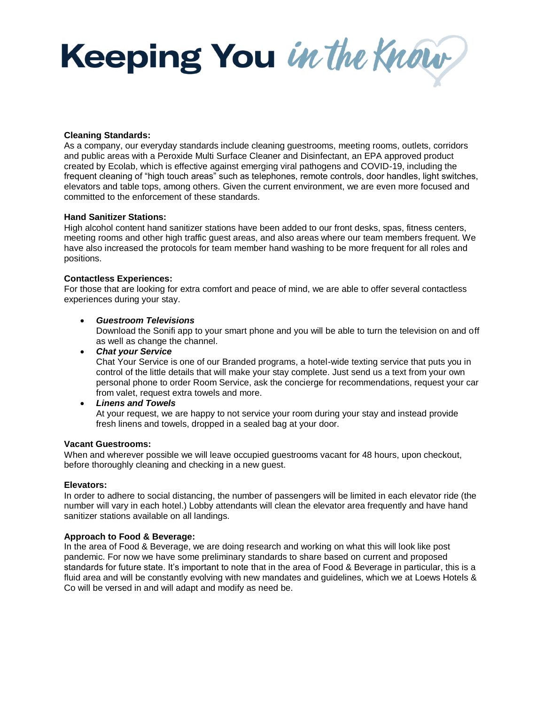Keeping You in the Know

## **Cleaning Standards:**

As a company, our everyday standards include cleaning guestrooms, meeting rooms, outlets, corridors and public areas with a Peroxide Multi Surface Cleaner and Disinfectant, an EPA approved product created by Ecolab, which is effective against emerging viral pathogens and COVID-19, including the frequent cleaning of "high touch areas" such as telephones, remote controls, door handles, light switches, elevators and table tops, among others. Given the current environment, we are even more focused and committed to the enforcement of these standards.

## **Hand Sanitizer Stations:**

High alcohol content hand sanitizer stations have been added to our front desks, spas, fitness centers, meeting rooms and other high traffic guest areas, and also areas where our team members frequent. We have also increased the protocols for team member hand washing to be more frequent for all roles and positions.

## **Contactless Experiences:**

For those that are looking for extra comfort and peace of mind, we are able to offer several contactless experiences during your stay.

## *Guestroom Televisions*

Download the Sonifi app to your smart phone and you will be able to turn the television on and off as well as change the channel.

*Chat your Service*

Chat Your Service is one of our Branded programs, a hotel-wide texting service that puts you in control of the little details that will make your stay complete. Just send us a text from your own personal phone to order Room Service, ask the concierge for recommendations, request your car from valet, request extra towels and more.

*Linens and Towels*

At your request, we are happy to not service your room during your stay and instead provide fresh linens and towels, dropped in a sealed bag at your door.

#### **Vacant Guestrooms:**

When and wherever possible we will leave occupied guestrooms vacant for 48 hours, upon checkout, before thoroughly cleaning and checking in a new guest.

#### **Elevators:**

In order to adhere to social distancing, the number of passengers will be limited in each elevator ride (the number will vary in each hotel.) Lobby attendants will clean the elevator area frequently and have hand sanitizer stations available on all landings.

# **Approach to Food & Beverage:**

In the area of Food & Beverage, we are doing research and working on what this will look like post pandemic. For now we have some preliminary standards to share based on current and proposed standards for future state. It's important to note that in the area of Food & Beverage in particular, this is a fluid area and will be constantly evolving with new mandates and guidelines, which we at Loews Hotels & Co will be versed in and will adapt and modify as need be.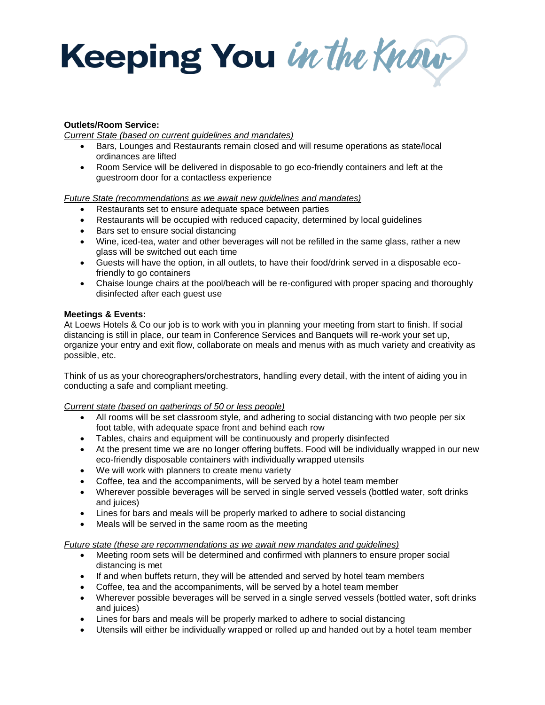Keeping You in the Know

# **Outlets/Room Service:**

*Current State (based on current guidelines and mandates)*

- Bars, Lounges and Restaurants remain closed and will resume operations as state/local ordinances are lifted
- Room Service will be delivered in disposable to go eco-friendly containers and left at the guestroom door for a contactless experience

*Future State (recommendations as we await new guidelines and mandates)*

- Restaurants set to ensure adequate space between parties
- Restaurants will be occupied with reduced capacity, determined by local guidelines
- Bars set to ensure social distancing
- Wine, iced-tea, water and other beverages will not be refilled in the same glass, rather a new glass will be switched out each time
- Guests will have the option, in all outlets, to have their food/drink served in a disposable ecofriendly to go containers
- Chaise lounge chairs at the pool/beach will be re-configured with proper spacing and thoroughly disinfected after each guest use

# **Meetings & Events:**

At Loews Hotels & Co our job is to work with you in planning your meeting from start to finish. If social distancing is still in place, our team in Conference Services and Banquets will re-work your set up, organize your entry and exit flow, collaborate on meals and menus with as much variety and creativity as possible, etc.

Think of us as your choreographers/orchestrators, handling every detail, with the intent of aiding you in conducting a safe and compliant meeting.

# *Current state (based on gatherings of 50 or less people)*

- All rooms will be set classroom style, and adhering to social distancing with two people per six foot table, with adequate space front and behind each row
- Tables, chairs and equipment will be continuously and properly disinfected
- At the present time we are no longer offering buffets. Food will be individually wrapped in our new eco-friendly disposable containers with individually wrapped utensils
- We will work with planners to create menu variety
- Coffee, tea and the accompaniments, will be served by a hotel team member
- Wherever possible beverages will be served in single served vessels (bottled water, soft drinks and juices)
- Lines for bars and meals will be properly marked to adhere to social distancing
- Meals will be served in the same room as the meeting

# *Future state (these are recommendations as we await new mandates and guidelines)*

- Meeting room sets will be determined and confirmed with planners to ensure proper social distancing is met
- If and when buffets return, they will be attended and served by hotel team members
- Coffee, tea and the accompaniments, will be served by a hotel team member
- Wherever possible beverages will be served in a single served vessels (bottled water, soft drinks and juices)
- Lines for bars and meals will be properly marked to adhere to social distancing
- Utensils will either be individually wrapped or rolled up and handed out by a hotel team member